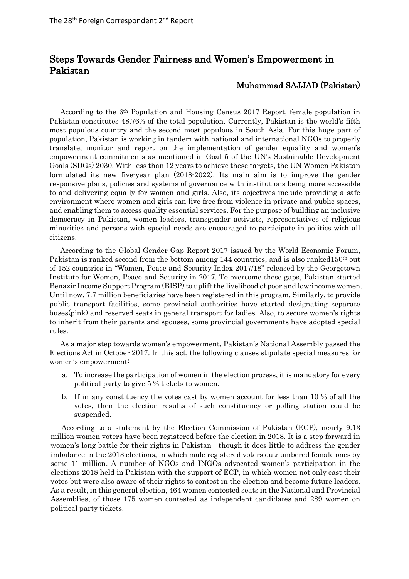## Steps Towards Gender Fairness and Women's Empowerment in Pakistan

## Muhammad SAJJAD (Pakistan)

According to the 6th Population and Housing Census 2017 Report, female population in Pakistan constitutes 48.76% of the total population. Currently, Pakistan is the world's fifth most populous country and the second most populous in South Asia. For this huge part of population, Pakistan is working in tandem with national and international NGOs to properly translate, monitor and report on the implementation of gender equality and women's empowerment commitments as mentioned in Goal 5 of the UN's Sustainable Development Goals (SDGs) 2030. With less than 12 years to achieve these targets, the UN Women Pakistan formulated its new five-year plan (2018-2022). Its main aim is to improve the gender responsive plans, policies and systems of governance with institutions being more accessible to and delivering equally for women and girls. Also, its objectives include providing a safe environment where women and girls can live free from violence in private and public spaces, and enabling them to access quality essential services. For the purpose of building an inclusive democracy in Pakistan, women leaders, transgender activists, representatives of religious minorities and persons with special needs are encouraged to participate in politics with all citizens.

According to the Global Gender Gap Report 2017 issued by the World Economic Forum, Pakistan is ranked second from the bottom among 144 countries, and is also ranked150<sup>th</sup> out of 152 countries in "Women, Peace and Security Index 2017/18" released by the Georgetown Institute for Women, Peace and Security in 2017. To overcome these gaps, Pakistan started Benazir Income Support Program (BISP) to uplift the livelihood of poor and low-income women. Until now, 7.7 million beneficiaries have been registered in this program. Similarly, to provide public transport facilities, some provincial authorities have started designating separate buses(pink) and reserved seats in general transport for ladies. Also, to secure women's rights to inherit from their parents and spouses, some provincial governments have adopted special rules.

As a major step towards women's empowerment, Pakistan's National Assembly passed the Elections Act in October 2017. In this act, the following clauses stipulate special measures for women's empowerment:

- a. To increase the participation of women in the election process, it is mandatory for every political party to give 5 % tickets to women.
- b. If in any constituency the votes cast by women account for less than 10 % of all the votes, then the election results of such constituency or polling station could be suspended.

According to a statement by the Election Commission of Pakistan (ECP), nearly 9.13 million women voters have been registered before the election in 2018. It is a step forward in women's long battle for their rights in Pakistan—though it does little to address the gender imbalance in the 2013 elections, in which male registered voters outnumbered female ones by some 11 million. A number of NGOs and INGOs advocated women's participation in the elections 2018 held in Pakistan with the support of ECP, in which women not only cast their votes but were also aware of their rights to contest in the election and become future leaders. As a result, in this general election, 464 women contested seats in the National and Provincial Assemblies, of those 175 women contested as independent candidates and 289 women on political party tickets.